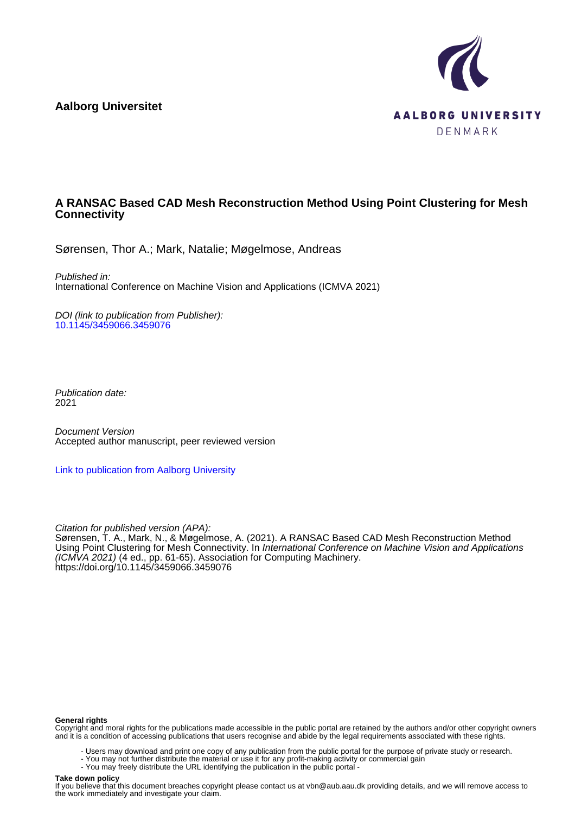**Aalborg Universitet**



# **A RANSAC Based CAD Mesh Reconstruction Method Using Point Clustering for Mesh Connectivity**

Sørensen, Thor A.; Mark, Natalie; Møgelmose, Andreas

Published in: International Conference on Machine Vision and Applications (ICMVA 2021)

DOI (link to publication from Publisher): [10.1145/3459066.3459076](https://doi.org/10.1145/3459066.3459076)

Publication date: 2021

Document Version Accepted author manuscript, peer reviewed version

[Link to publication from Aalborg University](https://vbn.aau.dk/en/publications/971facd9-95c1-42ba-a3d3-bee8915044f6)

Citation for published version (APA): Sørensen, T. A., Mark, N., & Møgelmose, A. (2021). A RANSAC Based CAD Mesh Reconstruction Method Using Point Clustering for Mesh Connectivity. In International Conference on Machine Vision and Applications (ICMVA 2021) (4 ed., pp. 61-65). Association for Computing Machinery. <https://doi.org/10.1145/3459066.3459076>

#### **General rights**

Copyright and moral rights for the publications made accessible in the public portal are retained by the authors and/or other copyright owners and it is a condition of accessing publications that users recognise and abide by the legal requirements associated with these rights.

- Users may download and print one copy of any publication from the public portal for the purpose of private study or research.
- You may not further distribute the material or use it for any profit-making activity or commercial gain
- You may freely distribute the URL identifying the publication in the public portal -

#### **Take down policy**

If you believe that this document breaches copyright please contact us at vbn@aub.aau.dk providing details, and we will remove access to the work immediately and investigate your claim.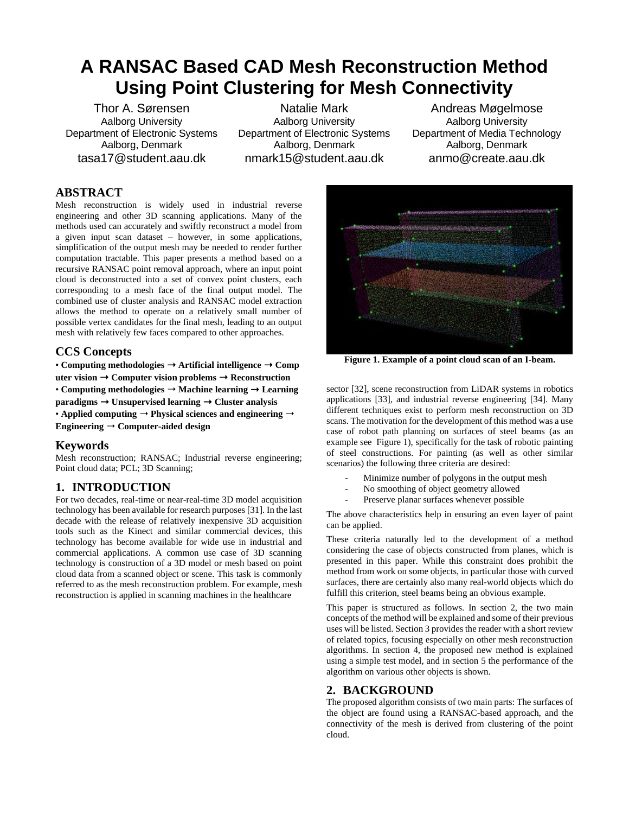# **A RANSAC Based CAD Mesh Reconstruction Method Using Point Clustering for Mesh Connectivity**

Thor A. Sørensen Aalborg University Department of Electronic Systems Aalborg, Denmark tasa17@student.aau.dk

Natalie Mark Aalborg University Department of Electronic Systems Aalborg, Denmark nmark15@student.aau.dk

<span id="page-1-0"></span>Andreas Møgelmose Aalborg University Department of Media Technology Aalborg, Denmark anmo@create.aau.dk

# **ABSTRACT**

Mesh reconstruction is widely used in industrial reverse engineering and other 3D scanning applications. Many of the methods used can accurately and swiftly reconstruct a model from a given input scan dataset – however, in some applications, simplification of the output mesh may be needed to render further computation tractable. This paper presents a method based on a recursive RANSAC point removal approach, where an input point cloud is deconstructed into a set of convex point clusters, each corresponding to a mesh face of the final output model. The combined use of cluster analysis and RANSAC model extraction allows the method to operate on a relatively small number of possible vertex candidates for the final mesh, leading to an output mesh with relatively few faces compared to other approaches.

# **CCS Concepts**

• **Computing methodologies** ➝ **Artificial intelligence** ➝ **Comp uter vision** ➝ **Computer vision problems** ➝ **Reconstruction** • **Computing methodologies** ➝ **Machine learning** ➝ **Learning paradigms** ➝ **Unsupervised learning** ➝ **Cluster analysis** • **Applied** computing  $\rightarrow$  **Physical sciences** and engineering  $\rightarrow$ **Engineering** ➝ **Computer-aided design**

# **Keywords**

Mesh reconstruction; RANSAC; Industrial reverse engineering; Point cloud data; PCL; 3D Scanning;

# **1. INTRODUCTION**

For two decades, real-time or near-real-time 3D model acquisition technology has been available for research purposes [31]. In the last decade with the release of relatively inexpensive 3D acquisition tools such as the Kinect and similar commercial devices, this technology has become available for wide use in industrial and commercial applications. A common use case of 3D scanning technology is construction of a 3D model or mesh based on point cloud data from a scanned object or scene. This task is commonly referred to as the mesh reconstruction problem. For example, mesh reconstruction is applied in scanning machines in the healthcare



**Figure 1. Example of a point cloud scan of an I-beam.**

sector [32], scene reconstruction from LiDAR systems in robotics applications [33], and industrial reverse engineering [34]. Many different techniques exist to perform mesh reconstruction on 3D scans. The motivation for the development of this method was a use case of robot path planning on surfaces of steel beams (as an example se[e Figure 1\)](#page-1-0), specifically for the task of robotic painting of steel constructions. For painting (as well as other similar scenarios) the following three criteria are desired:

- Minimize number of polygons in the output mesh
- No smoothing of object geometry allowed
- Preserve planar surfaces whenever possible

The above characteristics help in ensuring an even layer of paint can be applied.

These criteria naturally led to the development of a method considering the case of objects constructed from planes, which is presented in this paper. While this constraint does prohibit the method from work on some objects, in particular those with curved surfaces, there are certainly also many real-world objects which do fulfill this criterion, steel beams being an obvious example.

This paper is structured as follows. In section 2, the two main concepts of the method will be explained and some of their previous uses will be listed. Sectio[n 3](#page-2-0) provides the reader with a short review of related topics, focusing especially on other mesh reconstruction algorithms. In section 4, the proposed new method is explained using a simple test model, and in section 5 the performance of the algorithm on various other objects is shown.

# **2. BACKGROUND**

The proposed algorithm consists of two main parts: The surfaces of the object are found using a RANSAC-based approach, and the connectivity of the mesh is derived from clustering of the point cloud.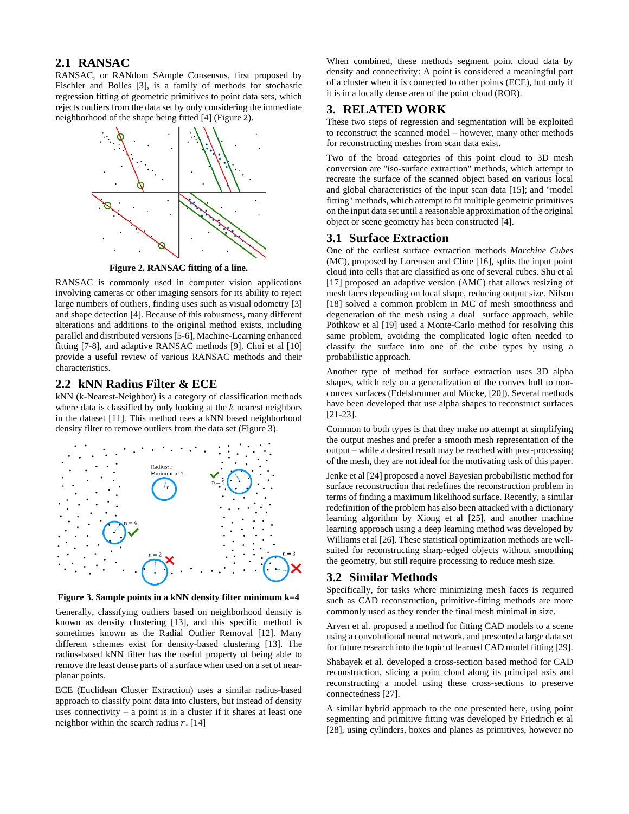# **2.1 RANSAC**

RANSAC, or RANdom SAmple Consensus, first proposed by Fischler and Bolles [3], is a family of methods for stochastic regression fitting of geometric primitives to point data sets, which rejects outliers from the data set by only considering the immediate neighborhood of the shape being fitted [4] [\(Figure 2\)](#page-2-1).



**Figure 2. RANSAC fitting of a line.**

<span id="page-2-1"></span>RANSAC is commonly used in computer vision applications involving cameras or other imaging sensors for its ability to reject large numbers of outliers, finding uses such as visual odometry [3] and shape detection [4]. Because of this robustness, many different alterations and additions to the original method exists, including parallel and distributed versions [5-6], Machine-Learning enhanced fitting [7-8], and adaptive RANSAC methods [9]. Choi et al [10] provide a useful review of various RANSAC methods and their characteristics.

## **2.2 kNN Radius Filter & ECE**

kNN (k-Nearest-Neighbor) is a category of classification methods where data is classified by only looking at the  $k$  nearest neighbors in the dataset [11]. This method uses a kNN based neighborhood density filter to remove outliers from the data set [\(Figure 3\)](#page-2-2).



<span id="page-2-2"></span>**Figure 3. Sample points in a kNN density filter minimum k=4**

Generally, classifying outliers based on neighborhood density is known as density clustering [13], and this specific method is sometimes known as the Radial Outlier Removal [12]. Many different schemes exist for density-based clustering [13]. The radius-based kNN filter has the useful property of being able to remove the least dense parts of a surface when used on a set of nearplanar points.

ECE (Euclidean Cluster Extraction) uses a similar radius-based approach to classify point data into clusters, but instead of density uses connectivity – a point is in a cluster if it shares at least one neighbor within the search radius  $r$ . [14]

When combined, these methods segment point cloud data by density and connectivity: A point is considered a meaningful part of a cluster when it is connected to other points (ECE), but only if it is in a locally dense area of the point cloud (ROR).

# <span id="page-2-0"></span>**3. RELATED WORK**

These two steps of regression and segmentation will be exploited to reconstruct the scanned model – however, many other methods for reconstructing meshes from scan data exist.

Two of the broad categories of this point cloud to 3D mesh conversion are "iso-surface extraction" methods, which attempt to recreate the surface of the scanned object based on various local and global characteristics of the input scan data [15]; and "model fitting" methods, which attempt to fit multiple geometric primitives on the input data set until a reasonable approximation of the original object or scene geometry has been constructed [4].

## **3.1 Surface Extraction**

One of the earliest surface extraction methods *Marchine Cubes* (MC), proposed by Lorensen and Cline [16], splits the input point cloud into cells that are classified as one of several cubes. Shu et al [17] proposed an adaptive version (AMC) that allows resizing of mesh faces depending on local shape, reducing output size. Nilson [18] solved a common problem in MC of mesh smoothness and degeneration of the mesh using a dual surface approach, while Pöthkow et al [19] used a Monte-Carlo method for resolving this same problem, avoiding the complicated logic often needed to classify the surface into one of the cube types by using a probabilistic approach.

Another type of method for surface extraction uses 3D alpha shapes, which rely on a generalization of the convex hull to nonconvex surfaces (Edelsbrunner and Mücke, [20]). Several methods have been developed that use alpha shapes to reconstruct surfaces [21-23].

Common to both types is that they make no attempt at simplifying the output meshes and prefer a smooth mesh representation of the output – while a desired result may be reached with post-processing of the mesh, they are not ideal for the motivating task of this paper.

Jenke et al [24] proposed a novel Bayesian probabilistic method for surface reconstruction that redefines the reconstruction problem in terms of finding a maximum likelihood surface. Recently, a similar redefinition of the problem has also been attacked with a dictionary learning algorithm by Xiong et al [25], and another machine learning approach using a deep learning method was developed by Williams et al [26]. These statistical optimization methods are wellsuited for reconstructing sharp-edged objects without smoothing the geometry, but still require processing to reduce mesh size.

# **3.2 Similar Methods**

Specifically, for tasks where minimizing mesh faces is required such as CAD reconstruction, primitive-fitting methods are more commonly used as they render the final mesh minimal in size.

Arven et al. proposed a method for fitting CAD models to a scene using a convolutional neural network, and presented a large data set for future research into the topic of learned CAD model fitting [29].

Shabayek et al. developed a cross-section based method for CAD reconstruction, slicing a point cloud along its principal axis and reconstructing a model using these cross-sections to preserve connectedness [27].

A similar hybrid approach to the one presented here, using point segmenting and primitive fitting was developed by Friedrich et al [28], using cylinders, boxes and planes as primitives, however no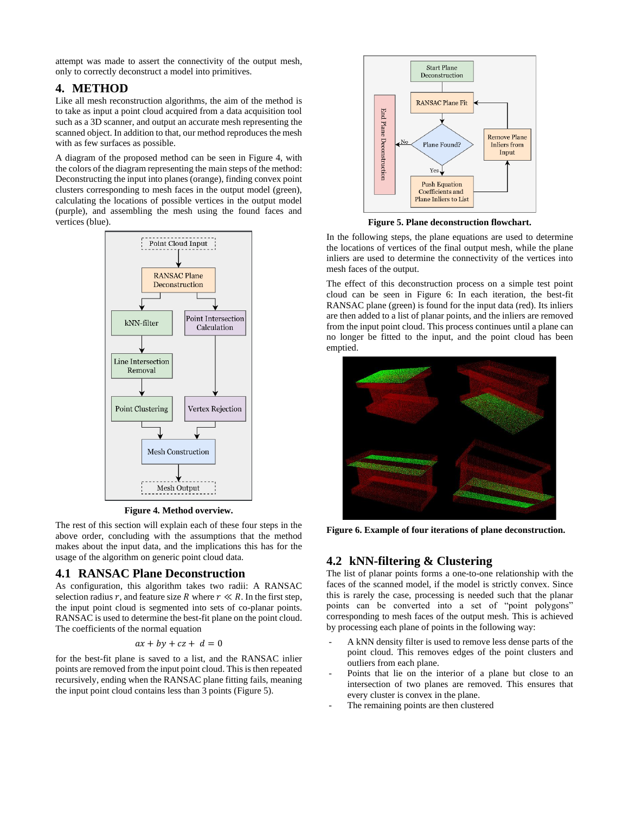attempt was made to assert the connectivity of the output mesh, only to correctly deconstruct a model into primitives.

# **4. METHOD**

Like all mesh reconstruction algorithms, the aim of the method is to take as input a point cloud acquired from a data acquisition tool such as a 3D scanner, and output an accurate mesh representing the scanned object. In addition to that, our method reproduces the mesh with as few surfaces as possible.

A diagram of the proposed method can be seen in [Figure 4,](#page-3-0) with the colors of the diagram representing the main steps of the method: Deconstructing the input into planes (orange), finding convex point clusters corresponding to mesh faces in the output model (green), calculating the locations of possible vertices in the output model (purple), and assembling the mesh using the found faces and vertices (blue).



**Figure 4. Method overview.**

<span id="page-3-0"></span>The rest of this section will explain each of these four steps in the above order, concluding with the assumptions that the method makes about the input data, and the implications this has for the usage of the algorithm on generic point cloud data.

## **4.1 RANSAC Plane Deconstruction**

As configuration, this algorithm takes two radii: A RANSAC selection radius r, and feature size R where  $r \ll R$ . In the first step, the input point cloud is segmented into sets of co-planar points. RANSAC is used to determine the best-fit plane on the point cloud. The coefficients of the normal equation

$$
ax + by + cz + d = 0
$$

for the best-fit plane is saved to a list, and the RANSAC inlier points are removed from the input point cloud. This is then repeated recursively, ending when the RANSAC plane fitting fails, meaning the input point cloud contains less than 3 points [\(Figure 5\)](#page-3-1).



**Figure 5. Plane deconstruction flowchart.**

<span id="page-3-1"></span>In the following steps, the plane equations are used to determine the locations of vertices of the final output mesh, while the plane inliers are used to determine the connectivity of the vertices into mesh faces of the output.

The effect of this deconstruction process on a simple test point cloud can be seen in [Figure 6:](#page-3-2) In each iteration, the best-fit RANSAC plane (green) is found for the input data (red). Its inliers are then added to a list of planar points, and the inliers are removed from the input point cloud. This process continues until a plane can no longer be fitted to the input, and the point cloud has been emptied.



**Figure 6. Example of four iterations of plane deconstruction.**

# <span id="page-3-2"></span>**4.2 kNN-filtering & Clustering**

The list of planar points forms a one-to-one relationship with the faces of the scanned model, if the model is strictly convex. Since this is rarely the case, processing is needed such that the planar points can be converted into a set of "point polygons" corresponding to mesh faces of the output mesh. This is achieved by processing each plane of points in the following way:

- A kNN density filter is used to remove less dense parts of the point cloud. This removes edges of the point clusters and outliers from each plane.
- Points that lie on the interior of a plane but close to an intersection of two planes are removed. This ensures that every cluster is convex in the plane.
- The remaining points are then clustered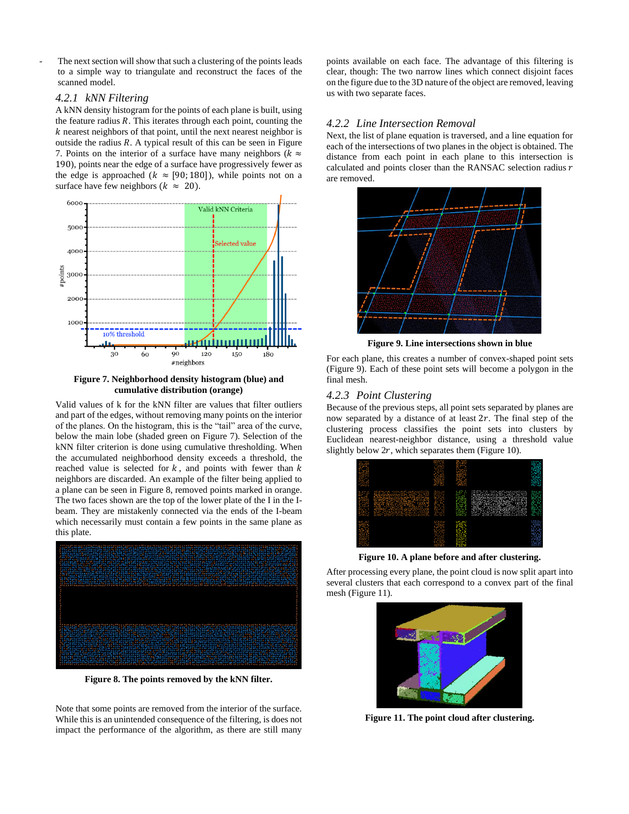The next section will show that such a clustering of the points leads to a simple way to triangulate and reconstruct the faces of the scanned model.

#### *4.2.1 kNN Filtering*

A kNN density histogram for the points of each plane is built, using the feature radius *. This iterates through each point, counting the*  $k$  nearest neighbors of that point, until the next nearest neighbor is outside the radius  $R$ . A typical result of this can be seen in Figure [7.](#page-4-0) Points on the interior of a surface have many neighbors ( $k \approx$ 190), points near the edge of a surface have progressively fewer as the edge is approached ( $k \approx [90; 180]$ ), while points not on a surface have few neighbors ( $k \approx 20$ ).



<span id="page-4-0"></span>**Figure 7. Neighborhood density histogram (blue) and cumulative distribution (orange)**

Valid values of k for the kNN filter are values that filter outliers and part of the edges, without removing many points on the interior of the planes. On the histogram, this is the "tail" area of the curve, below the main lobe (shaded green on [Figure 7\)](#page-4-0). Selection of the kNN filter criterion is done using cumulative thresholding. When the accumulated neighborhood density exceeds a threshold, the reached value is selected for  $k$ , and points with fewer than  $k$ neighbors are discarded. An example of the filter being applied to a plane can be seen i[n Figure 8,](#page-4-1) removed points marked in orange. The two faces shown are the top of the lower plate of the I in the Ibeam. They are mistakenly connected via the ends of the I-beam which necessarily must contain a few points in the same plane as this plate.



**Figure 8. The points removed by the kNN filter.**

<span id="page-4-1"></span>Note that some points are removed from the interior of the surface. While this is an unintended consequence of the filtering, is does not impact the performance of the algorithm, as there are still many

points available on each face. The advantage of this filtering is clear, though: The two narrow lines which connect disjoint faces on the figure due to the 3D nature of the object are removed, leaving us with two separate faces.

#### *4.2.2 Line Intersection Removal*

Next, the list of plane equation is traversed, and a line equation for each of the intersections of two planes in the object is obtained. The distance from each point in each plane to this intersection is calculated and points closer than the RANSAC selection radius  $r$ are removed.



**Figure 9. Line intersections shown in blue**

<span id="page-4-2"></span>For each plane, this creates a number of convex-shaped point sets [\(Figure 9\)](#page-4-2). Each of these point sets will become a polygon in the final mesh.

#### *4.2.3 Point Clustering*

Because of the previous steps, all point sets separated by planes are now separated by a distance of at least  $2r$ . The final step of the clustering process classifies the point sets into clusters by Euclidean nearest-neighbor distance, using a threshold value slightly below  $2r$ , which separates them [\(Figure 10\)](#page-4-3).

| <b><i><u>ALCOHOL:</u></i></b><br><b>PERSON</b><br>æ.<br>88<br><br>.<br>m<br><br><br> |                                                                                         | <br><br><br><br>.<br><b><i><u>INFERSION</u></i></b><br><br>.<br>.<br>.<br>9393<br>.<br><b><i><u>Participant</u></i></b><br><br><b>REPORT</b> | <br>201222<br><br><br><br><b>East</b><br><br><b><i><u>PARK AND</u></i></b><br><br><b>BROW</b><br><br><br> |                                                                                                                                                            | <br><br><br><br>.<br><br>.<br>.<br>.<br>.<br><br><br>.<br><br><br>$10 - 10 = 10$                                     |
|--------------------------------------------------------------------------------------|-----------------------------------------------------------------------------------------|----------------------------------------------------------------------------------------------------------------------------------------------|-----------------------------------------------------------------------------------------------------------|------------------------------------------------------------------------------------------------------------------------------------------------------------|----------------------------------------------------------------------------------------------------------------------|
| $1.11 - 1.0$<br><br>83<br><br>tumas.<br>Kana (k<br>.<br>.<br>.<br>mm<br>             | <b>BEER SERVICES SERVICE</b><br><u> Benediga</u><br>states in addeptate comments to one | 56-8<br><br>8295<br><b>Sec. 200</b><br>.<br>.<br>.<br><br><br><br><br><b>STATISTICS</b><br>.                                                 | .<br><br>概要<br><br><br>.<br><br><br>.<br>.<br>.<br><br><b><i><u>PARK COMP</u></i></b><br>                 | estates was soona aant aantarentenen<br><u> 1999 - Jan Albert Star</u><br>,,,,,,,,,,,,,,,,,,,,,,,,,,,,,,,,,,,,<br><u> 1998 - Alban Martin, Amerika</u><br> | <b>Part 21 1979</b><br><br><br><br><br><b>SECTION</b><br>.<br><br>.<br>.<br>.<br><br><br><br>.<br><b>Section</b><br> |
| <br><br>.<br>63<br><br>mm<br>----<br><br>.<br>.<br>.                                 |                                                                                         | <br><br><br>.<br><br><br><br>.<br><br><br>.<br><br>.<br>.<br><br><b>ALC: YES</b><br>.                                                        | .<br><br><b>PAGE</b><br>SH 19<br>m i l<br>-----<br><b>SATIST</b><br><br><b>There</b><br>.                 |                                                                                                                                                            | <br><br><br>.<br><br>.<br>.<br>.<br><br>.<br>.<br>.<br>.<br>.<br>.<br><br>                                           |
|                                                                                      |                                                                                         |                                                                                                                                              |                                                                                                           |                                                                                                                                                            |                                                                                                                      |

**Figure 10. A plane before and after clustering.**

<span id="page-4-3"></span>After processing every plane, the point cloud is now split apart into several clusters that each correspond to a convex part of the final mesh [\(Figure 11\)](#page-4-4).

<span id="page-4-4"></span>

**Figure 11. The point cloud after clustering.**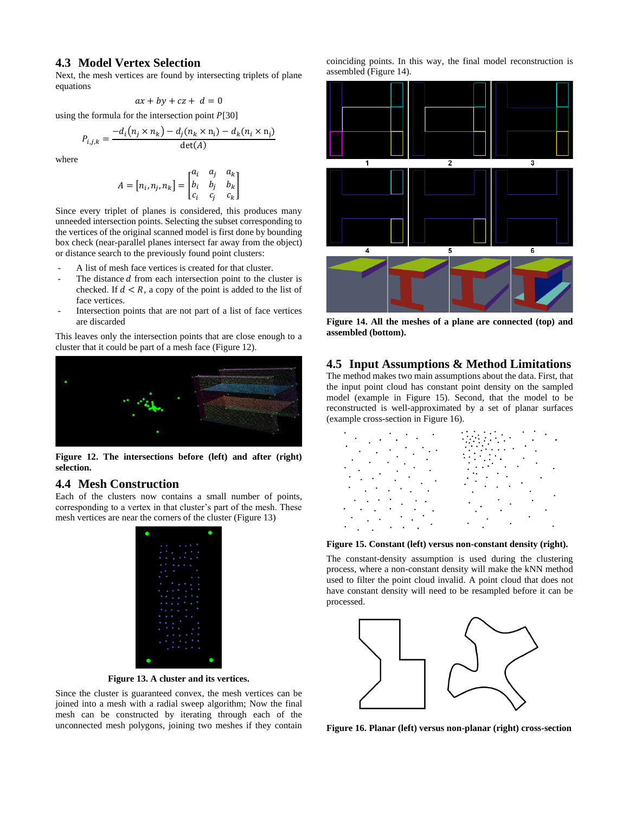### **4.3 Model Vertex Selection**

Next, the mesh vertices are found by intersecting triplets of plane equations

 $ax + by + cz + d = 0$ 

using the formula for the intersection point  $P[30]$ 

$$
P_{i,j,k} = \frac{-d_i(n_j \times n_k) - d_j(n_k \times n_i) - d_k(n_i \times n_j)}{\det(A)}
$$

where

$$
A = [n_i, n_j, n_k] = \begin{bmatrix} a_i & a_j & a_k \\ b_i & b_j & b_k \\ c_i & c_j & c_k \end{bmatrix}
$$

Since every triplet of planes is considered, this produces many unneeded intersection points. Selecting the subset corresponding to the vertices of the original scanned model is first done by bounding box check (near-parallel planes intersect far away from the object) or distance search to the previously found point clusters:

- A list of mesh face vertices is created for that cluster.
- The distance  $d$  from each intersection point to the cluster is checked. If  $d < R$ , a copy of the point is added to the list of face vertices.
- Intersection points that are not part of a list of face vertices are discarded

This leaves only the intersection points that are close enough to a cluster that it could be part of a mesh face [\(Figure 12\)](#page-5-0).



<span id="page-5-0"></span>**Figure 12. The intersections before (left) and after (right) selection.**

### **4.4 Mesh Construction**

Each of the clusters now contains a small number of points, corresponding to a vertex in that cluster's part of the mesh. These mesh vertices are near the corners of the cluster [\(Figure 13\)](#page-5-1)

|  | .              |  |
|--|----------------|--|
|  | .              |  |
|  | .              |  |
|  | .              |  |
|  | $\sim$<br>.    |  |
|  | .<br>٠<br>٠    |  |
|  | .              |  |
|  | .              |  |
|  | .              |  |
|  | .              |  |
|  | .              |  |
|  | .              |  |
|  | .              |  |
|  | .<br>a e       |  |
|  | .              |  |
|  | .              |  |
|  | $-1.11 - 1.11$ |  |
|  |                |  |

**Figure 13. A cluster and its vertices.**

<span id="page-5-1"></span>Since the cluster is guaranteed convex, the mesh vertices can be joined into a mesh with a radial sweep algorithm; Now the final mesh can be constructed by iterating through each of the unconnected mesh polygons, joining two meshes if they contain coinciding points. In this way, the final model reconstruction is assembled [\(Figure 14\)](#page-5-2).



<span id="page-5-2"></span>**Figure 14. All the meshes of a plane are connected (top) and assembled (bottom).**

### **4.5 Input Assumptions & Method Limitations**

The method makes two main assumptions about the data. First, that the input point cloud has constant point density on the sampled model (example in [Figure 15\)](#page-5-3). Second, that the model to be reconstructed is well-approximated by a set of planar surfaces (example cross-section in [Figure 16\)](#page-5-4).

| $\cdot$ $\cdot$ $\cdot$<br>٠             |                           |
|------------------------------------------|---------------------------|
| ٠<br>$\bullet$<br>٠<br>$\cdot$<br>٠<br>٠ |                           |
| $\bullet$<br>٠                           | $\cdot$ $\cdot$           |
| ٠<br>$\ddot{\phantom{0}}$<br>٠<br>٠      | ٠<br>$\ddot{\phantom{0}}$ |
| $\sim$ $\sim$<br>٠<br>٠<br>٠<br>$\cdot$  |                           |

#### <span id="page-5-3"></span>**Figure 15. Constant (left) versus non-constant density (right).**

The constant-density assumption is used during the clustering process, where a non-constant density will make the kNN method used to filter the point cloud invalid. A point cloud that does not have constant density will need to be resampled before it can be processed.



<span id="page-5-4"></span>**Figure 16. Planar (left) versus non-planar (right) cross-section**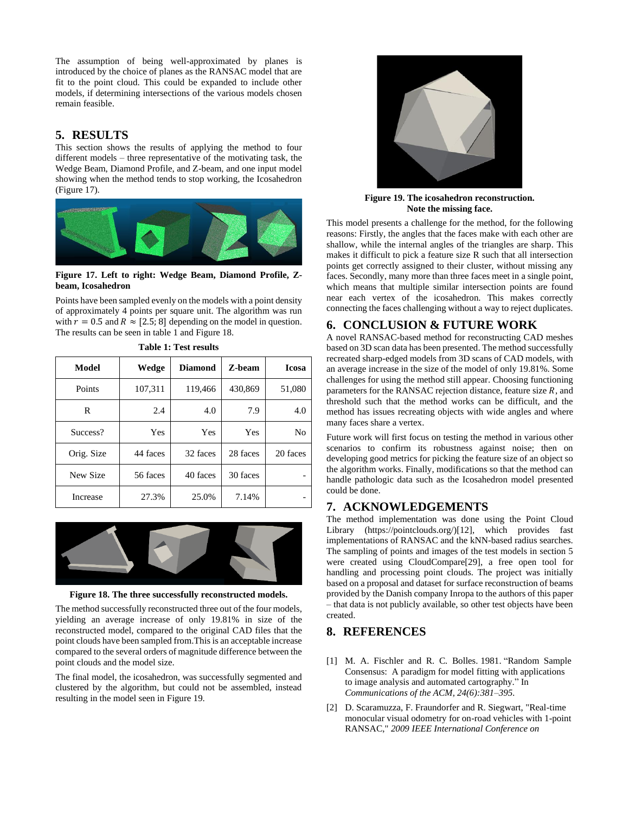The assumption of being well-approximated by planes is introduced by the choice of planes as the RANSAC model that are fit to the point cloud. This could be expanded to include other models, if determining intersections of the various models chosen remain feasible.

## **5. RESULTS**

This section shows the results of applying the method to four different models – three representative of the motivating task, the Wedge Beam, Diamond Profile, and Z-beam, and one input model showing when the method tends to stop working, the Icosahedron [\(Figure 17\)](#page-6-0).



**Figure 17. Left to right: Wedge Beam, Diamond Profile, Zbeam, Icosahedron**

<span id="page-6-0"></span>Points have been sampled evenly on the models with a point density of approximately 4 points per square unit. The algorithm was run with  $r = 0.5$  and  $R \approx [2.5; 8]$  depending on the model in question. The results can be seen in table 1 and [Figure 18.](#page-6-1)

| Model      | Wedge    | <b>Diamond</b> | Z-beam   | <b>Icosa</b> |
|------------|----------|----------------|----------|--------------|
| Points     | 107,311  | 119,466        | 430,869  | 51,080       |
| R          | 2.4      | 4.0            | 7.9      | 4.0          |
| Success?   | Yes      | Yes            | Yes      | No           |
| Orig. Size | 44 faces | 32 faces       | 28 faces | 20 faces     |
| New Size   | 56 faces | 40 faces       | 30 faces |              |
| Increase   | 27.3%    | 25.0%          | 7.14%    |              |

**Table 1: Test results**



**Figure 18. The three successfully reconstructed models.**

<span id="page-6-1"></span>The method successfully reconstructed three out of the four models, yielding an average increase of only 19.81% in size of the reconstructed model, compared to the original CAD files that the point clouds have been sampled from.This is an acceptable increase compared to the several orders of magnitude difference between the point clouds and the model size.

The final model, the icosahedron, was successfully segmented and clustered by the algorithm, but could not be assembled, instead resulting in the model seen in [Figure 19.](#page-6-2)



**Figure 19. The icosahedron reconstruction. Note the missing face.**

<span id="page-6-2"></span>This model presents a challenge for the method, for the following reasons: Firstly, the angles that the faces make with each other are shallow, while the internal angles of the triangles are sharp. This makes it difficult to pick a feature size R such that all intersection points get correctly assigned to their cluster, without missing any faces. Secondly, many more than three faces meet in a single point, which means that multiple similar intersection points are found near each vertex of the icosahedron. This makes correctly connecting the faces challenging without a way to reject duplicates.

# **6. CONCLUSION & FUTURE WORK**

A novel RANSAC-based method for reconstructing CAD meshes based on 3D scan data has been presented. The method successfully recreated sharp-edged models from 3D scans of CAD models, with an average increase in the size of the model of only 19.81%. Some challenges for using the method still appear. Choosing functioning parameters for the RANSAC rejection distance, feature size  $R$ , and threshold such that the method works can be difficult, and the method has issues recreating objects with wide angles and where many faces share a vertex.

Future work will first focus on testing the method in various other scenarios to confirm its robustness against noise; then on developing good metrics for picking the feature size of an object so the algorithm works. Finally, modifications so that the method can handle pathologic data such as the Icosahedron model presented could be done.

# **7. ACKNOWLEDGEMENTS**

The method implementation was done using the Point Cloud Library (https://pointclouds.org/)[12], which provides fast implementations of RANSAC and the kNN-based radius searches. The sampling of points and images of the test models in section 5 were created using CloudCompare[29], a free open tool for handling and processing point clouds. The project was initially based on a proposal and dataset for surface reconstruction of beams provided by the Danish company Inropa to the authors of this paper – that data is not publicly available, so other test objects have been created.

## **8. REFERENCES**

- [1] M. A. Fischler and R. C. Bolles. 1981. "Random Sample Consensus: A paradigm for model fitting with applications to image analysis and automated cartography." In *Communications of the ACM, 24(6):381–395.*
- [2] D. Scaramuzza, F. Fraundorfer and R. Siegwart, "Real-time monocular visual odometry for on-road vehicles with 1-point RANSAC," *2009 IEEE International Conference on*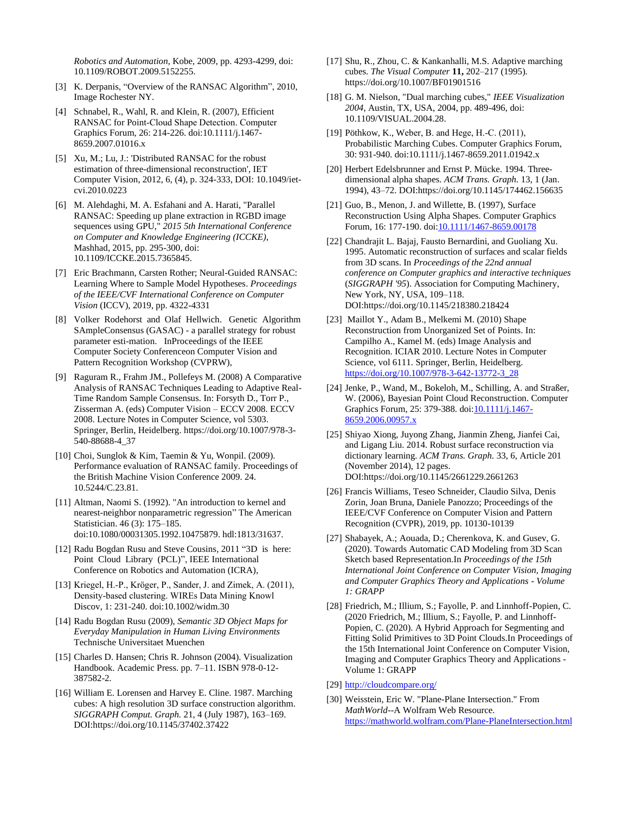*Robotics and Automation*, Kobe, 2009, pp. 4293-4299, doi: 10.1109/ROBOT.2009.5152255.

- [3] K. Derpanis, "Overview of the RANSAC Algorithm", 2010, Image Rochester NY.
- [4] Schnabel, R., Wahl, R. and Klein, R. (2007), Efficient RANSAC for Point‐Cloud Shape Detection. Computer Graphics Forum, 26: 214-226. doi:10.1111/j.1467- 8659.2007.01016.x
- [5] Xu, M.; Lu, J.: 'Distributed RANSAC for the robust estimation of three-dimensional reconstruction', IET Computer Vision, 2012, 6, (4), p. 324-333, DOI: 10.1049/ietcvi.2010.0223
- [6] M. Alehdaghi, M. A. Esfahani and A. Harati, "Parallel RANSAC: Speeding up plane extraction in RGBD image sequences using GPU," *2015 5th International Conference on Computer and Knowledge Engineering (ICCKE)*, Mashhad, 2015, pp. 295-300, doi: 10.1109/ICCKE.2015.7365845.
- [7] Eric Brachmann, Carsten Rother; Neural-Guided RANSAC: Learning Where to Sample Model Hypotheses. *Proceedings of the IEEE/CVF International Conference on Computer Vision* (ICCV), 2019, pp. 4322-4331
- [8] Volker Rodehorst and Olaf Hellwich. Genetic Algorithm SAmpleConsensus (GASAC) - a parallel strategy for robust parameter esti-mation. InProceedings of the IEEE Computer Society Conferenceon Computer Vision and Pattern Recognition Workshop (CVPRW),
- [9] Raguram R., Frahm JM., Pollefeys M. (2008) A Comparative Analysis of RANSAC Techniques Leading to Adaptive Real-Time Random Sample Consensus. In: Forsyth D., Torr P., Zisserman A. (eds) Computer Vision – ECCV 2008. ECCV 2008. Lecture Notes in Computer Science, vol 5303. Springer, Berlin, Heidelberg. https://doi.org/10.1007/978-3- 540-88688-4\_37
- [10] Choi, Sunglok & Kim, Taemin & Yu, Wonpil. (2009). Performance evaluation of RANSAC family. Proceedings of the British Machine Vision Conference 2009. 24. 10.5244/C.23.81.
- [11] Altman, Naomi S. (1992). "An introduction to kernel and nearest-neighbor nonparametric regression" The American Statistician. 46 (3): 175–185. doi:10.1080/00031305.1992.10475879. hdl:1813/31637.
- [12] Radu Bogdan Rusu and Steve Cousins, 2011 "3D is here: Point Cloud Library (PCL)", IEEE International Conference on Robotics and Automation (ICRA),
- [13] Kriegel, H.-P., Kröger, P., Sander, J. and Zimek, A. (2011), Density‐based clustering. WIREs Data Mining Knowl Discov, 1: 231-240. doi:10.1002/widm.30
- [14] Radu Bogdan Rusu (2009), *Semantic 3D Object Maps for Everyday Manipulation in Human Living Environments* Technische Universitaet Muenchen
- [15] Charles D. Hansen; Chris R. Johnson (2004). Visualization Handbook. Academic Press. pp. 7–11. ISBN 978-0-12- 387582-2*.*
- [16] William E. Lorensen and Harvey E. Cline. 1987. Marching cubes: A high resolution 3D surface construction algorithm. *SIGGRAPH Comput. Graph.* 21, 4 (July 1987), 163–169. DOI:https://doi.org/10.1145/37402.37422
- [17] Shu, R., Zhou, C. & Kankanhalli, M.S. Adaptive marching cubes. *The Visual Computer* **11,** 202–217 (1995). https://doi.org/10.1007/BF01901516
- [18] G. M. Nielson, "Dual marching cubes," *IEEE Visualization 2004*, Austin, TX, USA, 2004, pp. 489-496, doi: 10.1109/VISUAL.2004.28.
- [19] Pöthkow, K., Weber, B. and Hege, H.-C. (2011), Probabilistic Marching Cubes. Computer Graphics Forum, 30: 931-940. doi:10.1111/j.1467-8659.2011.01942.x
- [20] Herbert Edelsbrunner and Ernst P. Mücke. 1994. Threedimensional alpha shapes. *ACM Trans. Graph.* 13, 1 (Jan. 1994), 43–72. DOI:https://doi.org/10.1145/174462.156635
- [21] Guo, B., Menon, J. and Willette, B. (1997), Surface Reconstruction Using Alpha Shapes. Computer Graphics Forum, 16: 177-190. doi: 10.1111/1467-8659.00178
- [22] Chandrajit L. Bajaj, Fausto Bernardini, and Guoliang Xu. 1995. Automatic reconstruction of surfaces and scalar fields from 3D scans. In *Proceedings of the 22nd annual conference on Computer graphics and interactive techniques* (*SIGGRAPH '95*). Association for Computing Machinery, New York, NY, USA, 109–118. DOI:https://doi.org/10.1145/218380.218424
- [23] Maillot Y., Adam B., Melkemi M. (2010) Shape Reconstruction from Unorganized Set of Points. In: Campilho A., Kamel M. (eds) Image Analysis and Recognition. ICIAR 2010. Lecture Notes in Computer Science, vol 6111. Springer, Berlin, Heidelberg. [https://doi.org/10.1007/978-3-642-13772-3\\_28](https://doi.org/10.1007/978-3-642-13772-3_28)
- [24] Jenke, P., Wand, M., Bokeloh, M., Schilling, A. and Straßer, W. (2006), Bayesian Point Cloud Reconstruction. Computer Graphics Forum, 25: 379-388. doi[:10.1111/j.1467-](https://doi.org/10.1111/j.1467-8659.2006.00957.x) [8659.2006.00957.x](https://doi.org/10.1111/j.1467-8659.2006.00957.x)
- [25] Shiyao Xiong, Juyong Zhang, Jianmin Zheng, Jianfei Cai, and Ligang Liu. 2014. Robust surface reconstruction via dictionary learning. *ACM Trans. Graph.* 33, 6, Article 201 (November 2014), 12 pages. DOI:https://doi.org/10.1145/2661229.2661263
- [26] Francis Williams, Teseo Schneider, Claudio Silva, Denis Zorin, Joan Bruna, Daniele Panozzo; Proceedings of the IEEE/CVF Conference on Computer Vision and Pattern Recognition (CVPR), 2019, pp. 10130-10139
- [27] Shabayek, A.; Aouada, D.; Cherenkova, K. and Gusev, G. (2020). Towards Automatic CAD Modeling from 3D Scan Sketch based Representation.In *Proceedings of the 15th International Joint Conference on Computer Vision, Imaging and Computer Graphics Theory and Applications - Volume 1: GRAPP*
- [28] Friedrich, M.; Illium, S.; Fayolle, P. and Linnhoff-Popien, C. (2020 Friedrich, M.; Illium, S.; Fayolle, P. and Linnhoff-Popien, C. (2020). A Hybrid Approach for Segmenting and Fitting Solid Primitives to 3D Point Clouds.In Proceedings of the 15th International Joint Conference on Computer Vision, Imaging and Computer Graphics Theory and Applications - Volume 1: GRAPP
- [29] <http://cloudcompare.org/>
- [30] Weisstein, Eric W. "Plane-Plane Intersection." From *MathWorld*--A Wolfram Web Resource. <https://mathworld.wolfram.com/Plane-PlaneIntersection.html>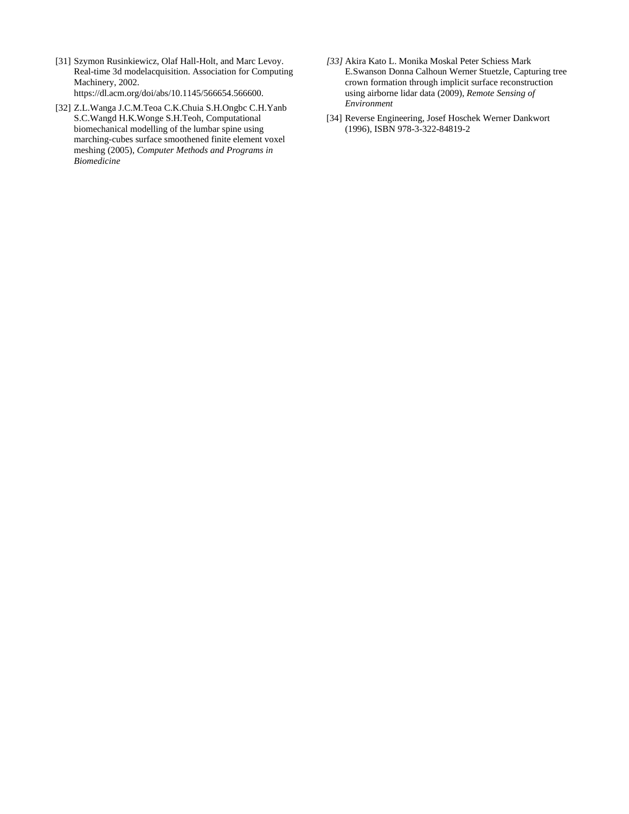- [31] Szymon Rusinkiewicz, Olaf Hall-Holt, and Marc Levoy. Real-time 3d modelacquisition. Association for Computing Machinery, 2002. https://dl.acm.org/doi/abs/10.1145/566654.566600.
- [32] Z.L.Wanga J.C.M.Teoa C.K.Chuia S.H.Ongbc C.H.Yanb S.C.Wangd H.K.Wonge S.H.Teoh, Computational biomechanical modelling of the lumbar spine using marching-cubes surface smoothened finite element voxel meshing (2005), *Computer Methods and Programs in Biomedicine*
- *[33]* Akira Kato L. Monika Moskal Peter Schiess Mark E.Swanson Donna Calhoun Werner Stuetzle, Capturing tree crown formation through implicit surface reconstruction using airborne lidar data (2009), *Remote Sensing of Environment*
- [34] Reverse Engineering, Josef Hoschek Werner Dankwort (1996), ISBN 978-3-322-84819-2